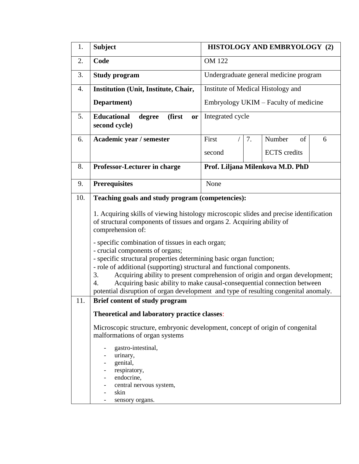| 1.  | <b>Subject</b>                                                                                                                                                                                                                                                                                                                                                                                                                                                                                                                                                                                      | HISTOLOGY AND EMBRYOLOGY (2) |                                        |                                       |   |  |  |
|-----|-----------------------------------------------------------------------------------------------------------------------------------------------------------------------------------------------------------------------------------------------------------------------------------------------------------------------------------------------------------------------------------------------------------------------------------------------------------------------------------------------------------------------------------------------------------------------------------------------------|------------------------------|----------------------------------------|---------------------------------------|---|--|--|
| 2.  | Code                                                                                                                                                                                                                                                                                                                                                                                                                                                                                                                                                                                                | <b>OM 122</b>                |                                        |                                       |   |  |  |
| 3.  | <b>Study program</b>                                                                                                                                                                                                                                                                                                                                                                                                                                                                                                                                                                                |                              | Undergraduate general medicine program |                                       |   |  |  |
| 4.  | Institution (Unit, Institute, Chair,                                                                                                                                                                                                                                                                                                                                                                                                                                                                                                                                                                |                              |                                        | Institute of Medical Histology and    |   |  |  |
|     | Department)                                                                                                                                                                                                                                                                                                                                                                                                                                                                                                                                                                                         |                              |                                        | Embryology UKIM – Faculty of medicine |   |  |  |
| 5.  | <b>Educational</b><br>(first<br>degree<br>or<br>second cycle)                                                                                                                                                                                                                                                                                                                                                                                                                                                                                                                                       |                              | Integrated cycle                       |                                       |   |  |  |
| 6.  | Academic year / semester                                                                                                                                                                                                                                                                                                                                                                                                                                                                                                                                                                            | First                        | 7.                                     | Number<br>of                          | 6 |  |  |
|     |                                                                                                                                                                                                                                                                                                                                                                                                                                                                                                                                                                                                     | second                       |                                        | <b>ECTS</b> credits                   |   |  |  |
| 8.  | <b>Professor-Lecturer in charge</b>                                                                                                                                                                                                                                                                                                                                                                                                                                                                                                                                                                 |                              |                                        | Prof. Liljana Milenkova M.D. PhD      |   |  |  |
| 9.  | <b>Prerequisites</b>                                                                                                                                                                                                                                                                                                                                                                                                                                                                                                                                                                                | None                         |                                        |                                       |   |  |  |
| 10. | Teaching goals and study program (competencies):                                                                                                                                                                                                                                                                                                                                                                                                                                                                                                                                                    |                              |                                        |                                       |   |  |  |
|     | 1. Acquiring skills of viewing histology microscopic slides and precise identification<br>of structural components of tissues and organs 2. Acquiring ability of<br>comprehension of:<br>- specific combination of tissues in each organ;<br>- crucial components of organs;<br>- specific structural properties determining basic organ function;<br>- role of additional (supporting) structural and functional components.<br>Acquiring ability to present comprehension of origin and organ development;<br>3.<br>Acquiring basic ability to make causal-consequential connection between<br>4. |                              |                                        |                                       |   |  |  |
| 11. | potential disruption of organ development and type of resulting congenital anomaly.<br>Brief content of study program                                                                                                                                                                                                                                                                                                                                                                                                                                                                               |                              |                                        |                                       |   |  |  |
|     | Theoretical and laboratory practice classes:                                                                                                                                                                                                                                                                                                                                                                                                                                                                                                                                                        |                              |                                        |                                       |   |  |  |
|     | Microscopic structure, embryonic development, concept of origin of congenital<br>malformations of organ systems                                                                                                                                                                                                                                                                                                                                                                                                                                                                                     |                              |                                        |                                       |   |  |  |
|     | gastro-intestinal,<br>urinary,<br>genital,<br>respiratory,<br>endocrine,<br>central nervous system,<br>skin<br>sensory organs.                                                                                                                                                                                                                                                                                                                                                                                                                                                                      |                              |                                        |                                       |   |  |  |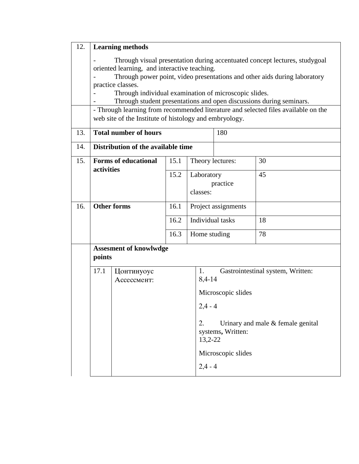| 12. |                                                                                                                                                                                                                                                                                                                                                                                                                                                                                                              | <b>Learning methods</b>            |      |                                    |                                                                   |    |  |
|-----|--------------------------------------------------------------------------------------------------------------------------------------------------------------------------------------------------------------------------------------------------------------------------------------------------------------------------------------------------------------------------------------------------------------------------------------------------------------------------------------------------------------|------------------------------------|------|------------------------------------|-------------------------------------------------------------------|----|--|
|     | Through visual presentation during accentuated concept lectures, studygoal<br>oriented learning, and interactive teaching.<br>Through power point, video presentations and other aids during laboratory<br>practice classes.<br>Through individual examination of microscopic slides.<br>Through student presentations and open discussions during seminars.<br>- Through learning from recommended literature and selected files available on the<br>web site of the Institute of histology and embryology. |                                    |      |                                    |                                                                   |    |  |
| 13. | <b>Total number of hours</b>                                                                                                                                                                                                                                                                                                                                                                                                                                                                                 |                                    |      |                                    |                                                                   |    |  |
| 14. |                                                                                                                                                                                                                                                                                                                                                                                                                                                                                                              | Distribution of the available time |      |                                    |                                                                   |    |  |
| 15. |                                                                                                                                                                                                                                                                                                                                                                                                                                                                                                              | <b>Forms of educational</b>        | 15.1 | Theory lectures:                   |                                                                   | 30 |  |
|     | activities                                                                                                                                                                                                                                                                                                                                                                                                                                                                                                   |                                    | 15.2 | Laboratory<br>practice<br>classes: |                                                                   | 45 |  |
| 16. | <b>Other forms</b>                                                                                                                                                                                                                                                                                                                                                                                                                                                                                           |                                    | 16.1 | Project assignments                |                                                                   |    |  |
|     |                                                                                                                                                                                                                                                                                                                                                                                                                                                                                                              |                                    | 16.2 | Individual tasks                   |                                                                   | 18 |  |
|     |                                                                                                                                                                                                                                                                                                                                                                                                                                                                                                              |                                    | 16.3 | Home studing                       |                                                                   | 78 |  |
|     | <b>Assesment of knowlwdge</b><br>points                                                                                                                                                                                                                                                                                                                                                                                                                                                                      |                                    |      |                                    |                                                                   |    |  |
|     | 17.1                                                                                                                                                                                                                                                                                                                                                                                                                                                                                                         | Цонтинуоус<br>Ассессмент:          |      | 1.                                 | Gastrointestinal system, Written:<br>8,4-14                       |    |  |
|     |                                                                                                                                                                                                                                                                                                                                                                                                                                                                                                              |                                    |      | Microscopic slides                 |                                                                   |    |  |
|     |                                                                                                                                                                                                                                                                                                                                                                                                                                                                                                              |                                    |      | $2,4 - 4$                          |                                                                   |    |  |
|     |                                                                                                                                                                                                                                                                                                                                                                                                                                                                                                              |                                    |      | 2.                                 | Urinary and male & female genital<br>systems, Written:<br>13,2-22 |    |  |
|     |                                                                                                                                                                                                                                                                                                                                                                                                                                                                                                              |                                    |      | $2,4 - 4$                          | Microscopic slides                                                |    |  |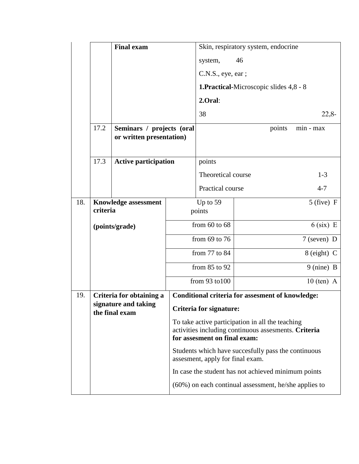|      |                                         | <b>Final exam</b>           |                         | Skin, respiratory system, endocrine                                                                                                      |                                                         |                      |  |
|------|-----------------------------------------|-----------------------------|-------------------------|------------------------------------------------------------------------------------------------------------------------------------------|---------------------------------------------------------|----------------------|--|
|      |                                         |                             |                         | system,                                                                                                                                  | 46                                                      |                      |  |
|      |                                         |                             |                         | C.N.S., eye, ear;                                                                                                                        |                                                         |                      |  |
|      |                                         |                             |                         |                                                                                                                                          | <b>1.Practical-Microscopic slides 4,8 - 8</b>           |                      |  |
|      |                                         |                             |                         | 2.Oral:                                                                                                                                  |                                                         |                      |  |
|      |                                         |                             |                         | 38                                                                                                                                       |                                                         | $22,8-$              |  |
|      | 17.2                                    | Seminars / projects (oral   |                         |                                                                                                                                          | points                                                  | min - max            |  |
|      | or written presentation)                |                             |                         |                                                                                                                                          |                                                         |                      |  |
| 17.3 |                                         | <b>Active participation</b> |                         | points                                                                                                                                   |                                                         |                      |  |
|      |                                         |                             |                         | Theoretical course                                                                                                                       |                                                         | $1 - 3$              |  |
|      |                                         |                             |                         | Practical course                                                                                                                         |                                                         | $4 - 7$              |  |
| 18.  |                                         |                             |                         | Up to $59$                                                                                                                               |                                                         | $5$ (five) F         |  |
|      | <b>Knowledge assessment</b><br>criteria |                             | points                  |                                                                                                                                          |                                                         |                      |  |
|      |                                         | (points/grade)              | from $60$ to $68$       |                                                                                                                                          |                                                         | $6$ (six) E          |  |
|      |                                         |                             |                         | from $69$ to $76$                                                                                                                        |                                                         | $7$ (seven) D        |  |
|      |                                         |                             |                         | from 77 to 84                                                                                                                            |                                                         | $8$ (eight) C        |  |
|      |                                         |                             |                         | from $85$ to $92$                                                                                                                        |                                                         | $9 \text{ (nine)} B$ |  |
|      |                                         |                             |                         | from 93 to 100                                                                                                                           |                                                         | $10$ (ten) A         |  |
| 19.  |                                         | Criteria for obtaining a    |                         |                                                                                                                                          | <b>Conditional criteria for assesment of knowledge:</b> |                      |  |
|      | signature and taking<br>the final exam  |                             | Criteria for signature: |                                                                                                                                          |                                                         |                      |  |
|      |                                         |                             |                         | To take active participation in all the teaching<br>activities including continuous assesments. Criteria<br>for assesment on final exam: |                                                         |                      |  |
|      |                                         |                             |                         | Students which have succesfully pass the continuous<br>assesment, apply for final exam.                                                  |                                                         |                      |  |
|      |                                         |                             |                         | In case the student has not achieved minimum points                                                                                      |                                                         |                      |  |
|      |                                         |                             |                         | $(60\%)$ on each continual assessment, he/she applies to                                                                                 |                                                         |                      |  |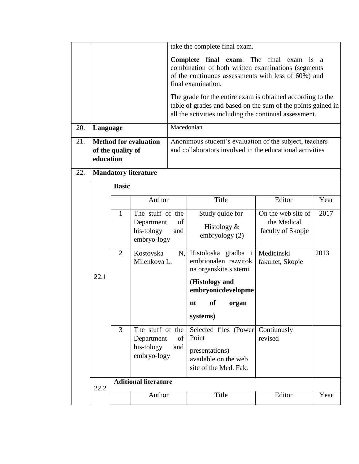|     |                                                                |                |                                                                          | take the complete final exam.                                                                                                                                                        |                                                                                                   |                                                        |      |  |  |
|-----|----------------------------------------------------------------|----------------|--------------------------------------------------------------------------|--------------------------------------------------------------------------------------------------------------------------------------------------------------------------------------|---------------------------------------------------------------------------------------------------|--------------------------------------------------------|------|--|--|
|     |                                                                |                |                                                                          | Complete final exam: The final<br>exam is<br>a.<br>combination of both written examinations (segments<br>of the continuous assessments with less of 60%) and<br>final examination.   |                                                                                                   |                                                        |      |  |  |
|     |                                                                |                |                                                                          | The grade for the entire exam is obtained according to the<br>table of grades and based on the sum of the points gained in<br>all the activities including the continual assessment. |                                                                                                   |                                                        |      |  |  |
| 20. | Language                                                       |                |                                                                          | Macedonian                                                                                                                                                                           |                                                                                                   |                                                        |      |  |  |
| 21. | <b>Method for evaluation</b><br>of the quality of<br>education |                |                                                                          | Anonimous student's evaluation of the subject, teachers<br>and collaborators involved in the educational activities                                                                  |                                                                                                   |                                                        |      |  |  |
| 22. |                                                                |                | <b>Mandatory literature</b>                                              |                                                                                                                                                                                      |                                                                                                   |                                                        |      |  |  |
|     |                                                                | <b>Basic</b>   |                                                                          |                                                                                                                                                                                      |                                                                                                   |                                                        |      |  |  |
|     |                                                                |                | Author                                                                   |                                                                                                                                                                                      | Title                                                                                             | Editor                                                 | Year |  |  |
|     | 22.1                                                           | $\mathbf{1}$   | The stuff of the<br>Department<br>of<br>his-tology<br>and<br>embryo-logy |                                                                                                                                                                                      | Study quide for<br>Histology $\&$<br>embryology (2)                                               | On the web site of<br>the Medical<br>faculty of Skopje | 2017 |  |  |
|     |                                                                | $\overline{2}$ | Kostovska<br>Milenkova L.                                                | N,                                                                                                                                                                                   | Histoloska gradba i<br>embrionalen razvitok<br>na organskite sistemi                              | Medicinski<br>fakultet, Skopje                         | 2013 |  |  |
|     |                                                                |                |                                                                          |                                                                                                                                                                                      | (Histology and<br>embryonicdevelopme<br>nt of organ                                               |                                                        |      |  |  |
|     |                                                                |                |                                                                          |                                                                                                                                                                                      | systems)                                                                                          |                                                        |      |  |  |
|     |                                                                | $\overline{3}$ | The stuff of the<br>Department<br>his-tology<br>embryo-logy              | of<br>and                                                                                                                                                                            | Selected files (Power<br>Point<br>presentations)<br>available on the web<br>site of the Med. Fak. | Contiuously<br>revised                                 |      |  |  |
|     | 22.2                                                           |                | <b>Aditional literature</b>                                              |                                                                                                                                                                                      |                                                                                                   |                                                        |      |  |  |
|     |                                                                |                | Author                                                                   |                                                                                                                                                                                      | Title                                                                                             | Editor                                                 | Year |  |  |